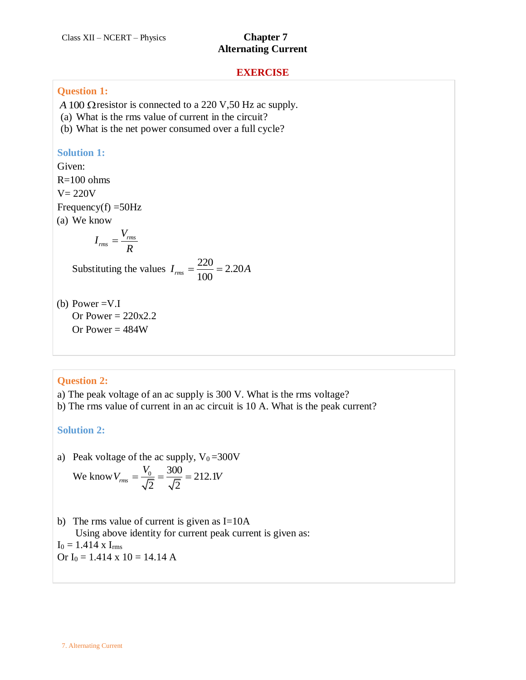#### **EXERCISE**

#### **Question 1:**

- $A$  100  $\Omega$  resistor is connected to a 220 V,50 Hz ac supply.
- (a) What is the rms value of current in the circuit?
- (b) What is the net power consumed over a full cycle?

#### **Solution 1:**

Given: R=100 ohms  $V= 220V$ Frequency(f)  $=50$ Hz (a) We know *rms rms V I R*  $=$ 

Substituting the values  $I_{rms} = \frac{220}{100} = 2.20A$ 

(b) Power  $=V.I$ Or Power  $= 220x2.2$ Or Power  $= 484W$ 

### **Question 2:**

- a) The peak voltage of an ac supply is 300 V. What is the rms voltage?
- b) The rms value of current in an ac circuit is 10 A. What is the peak current?

#### **Solution 2:**

a) Peak voltage of the ac supply,  $V_0 = 300V$ 

We know 
$$
V_{rms} = \frac{V_0}{\sqrt{2}} = \frac{300}{\sqrt{2}} = 212.1V
$$

b) The rms value of current is given as I=10A Using above identity for current peak current is given as:  $I_0 = 1.414$  x  $I_{rms}$ Or  $I_0 = 1.414$  x  $10 = 14.14$  A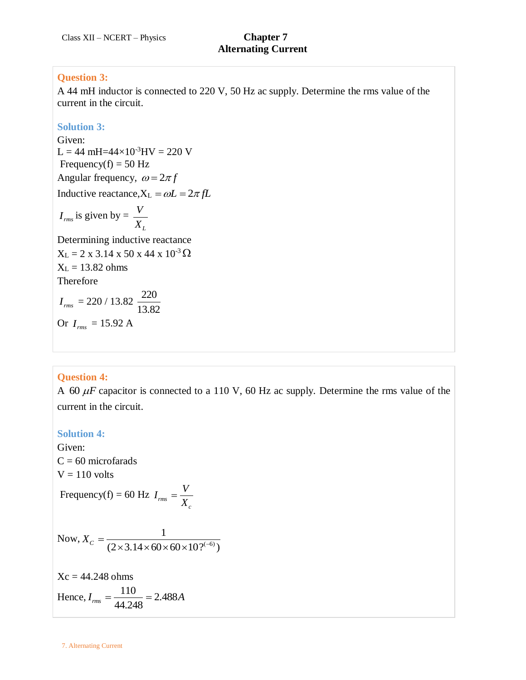# **Question 3:**

A 44 mH inductor is connected to 220 V, 50 Hz ac supply. Determine the rms value of the current in the circuit.

**Solution 3:**

Given:  $L = 44$  mH= $44 \times 10^{-3}$ HV = 220 V Frequency(f) =  $50$  Hz Angular frequency,  $\omega = 2\pi f$ Inductive reactance,  $X_L = \omega L = 2\pi fL$  $I_{rms}$  is given by = *L V X* Determining inductive reactance  $X_L = 2 \times 3.14 \times 50 \times 44 \times 10^{-3} \Omega$  $X_L = 13.82$  ohms Therefore  $220$ 

$$
I_{rms} = 220 / 13.82 \frac{220}{13.82}
$$
   
Or  $I_{rms} = 15.92$  A

### **Question 4:**

A 60  $\mu$ F capacitor is connected to a 110 V, 60 Hz ac supply. Determine the rms value of the current in the circuit.

**Solution 4:** Given:  $C = 60$  microfarads  $V = 110$  volts Frequency(f) =  $60$  Hz  $I_{rms}$ *c*  $I_{rms} = \frac{V}{I}$ *X*  $=$ Now,  $X_c = \frac{1}{(2 \times 3.14 \times 60 \times 60 \times 10^{(0)})^{{(-6)}}}$  $X_c = \frac{1}{(2 \times 3.14 \times 60 \times 60 \times 10^{\cdot 2^{(-6)}})}$  $Xc = 44.248$  ohms Hence,  $I_{rms} = \frac{110}{44.248} = 2.488A$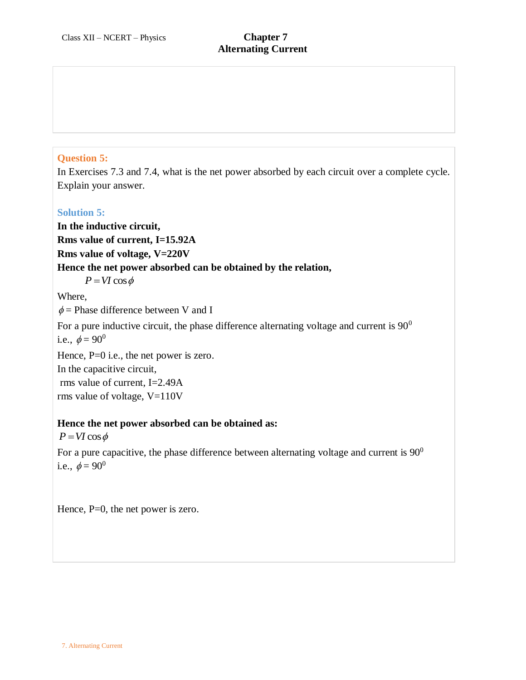#### **Question 5:**

In Exercises 7.3 and 7.4, what is the net power absorbed by each circuit over a complete cycle. Explain your answer.

#### **Solution 5:**

**In the inductive circuit, Rms value of current, I=15.92A Rms value of voltage, V=220V Hence the net power absorbed can be obtained by the relation,**  $P = VI \cos \phi$ Where,

 $\phi$  = Phase difference between V and I

For a pure inductive circuit, the phase difference alternating voltage and current is  $90^0$ i.e.,  $\phi = 90^0$ 

Hence,  $P=0$  i.e., the net power is zero. In the capacitive circuit, rms value of current, I=2.49A rms value of voltage, V=110V

#### **Hence the net power absorbed can be obtained as:**

 $P = VI \cos \phi$ 

For a pure capacitive, the phase difference between alternating voltage and current is  $90^0$ i.e.,  $\phi = 90^0$ 

Hence, P=0, the net power is zero.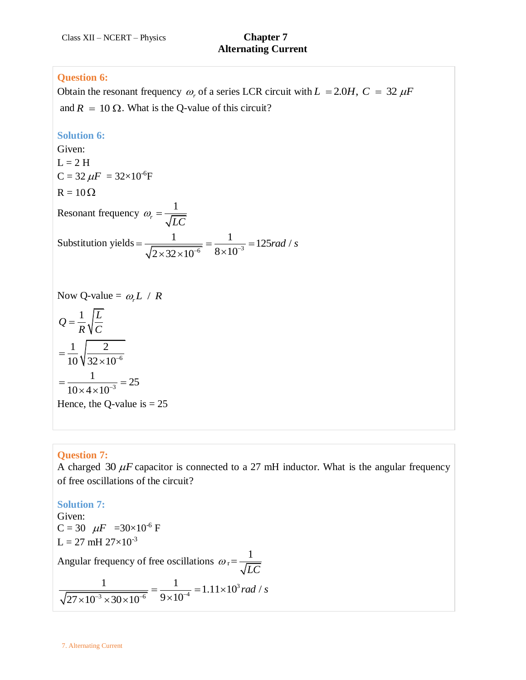### **Question 6:**

Obtain the resonant frequency  $\omega_r$  of a series LCR circuit with  $L = 2.0H$ ,  $C = 32 \mu F$ and  $R = 10 \Omega$ . What is the Q-value of this circuit?

### **Solution 6:**

Given:  $L = 2H$  $C = 32 \,\mu F = 32 \times 10^{-6} F$  $R = 10 \Omega$ Resonant frequency  $\omega_r = \frac{1}{\sqrt{2\pi}}$  $\sqrt{LC}$  $\omega_{r} =$ Substitution yields  $=$   $\frac{1}{\sqrt{2 \times 3 \times 10^{-6}}} = \frac{1}{8 \times 10^{-3}} = 125$  rad /  $\frac{1}{2 \times 32 \times 10^{-6}} = \frac{1}{8 \times 10}$  $r_{\rm L}$ <br> $= \frac{1}{\sqrt{2 \times 32 \times 10^{-6}}} = \frac{1}{8 \times 10^{-3}} = 125$  rad / s  $\frac{1}{\times 32 \times 10^{-6}} = \frac{1}{8 \times 10^{-6}}$ 

Now Q-value = 
$$
\omega_r L / R
$$

$$
Q = \frac{1}{R} \sqrt{\frac{L}{C}}
$$
  
= 
$$
\frac{1}{10} \sqrt{\frac{2}{32 \times 10^{-6}}}
$$
  
= 
$$
\frac{1}{10 \times 4 \times 10^{-3}} = 25
$$
  
Hence, the Q-value is = 25

### **Question 7:**

A charged 30  $\mu$ F capacitor is connected to a 27 mH inductor. What is the angular frequency of free oscillations of the circuit?

### **Solution 7:**

Given:  $C = 30 \mu F = 30 \times 10^{-6} F$  $L = 27$  mH  $27 \times 10^{-3}$ Angular frequency of free oscillations  $\omega$ <sup>r</sup> 1 *LC*  $=$ requency of free oscillations  $\omega_{\rm r} = \frac{1}{\sqrt{LC}}$ <br> $\frac{1}{\sqrt{3 \times 30 \times 10^{-6}}} = \frac{1}{9 \times 10^{-4}} = 1.11 \times 10^{3}$  rad /  $\frac{1}{27 \times 10^{-3} \times 30 \times 10^{-6}} = \frac{1}{9 \times 10}$ requency of the oscinations  $\omega_r = \frac{1}{\sqrt{LC}}$ <br> $\frac{1}{\sqrt{36 \times 10^{-6}}} = \frac{1}{9 \times 10^{-4}} = 1.11 \times 10^{3}$  rad / s  $\frac{1}{\times 10^{-3} \times 30 \times 10^{-6}} = \frac{1}{9 \times 10^{-6}}$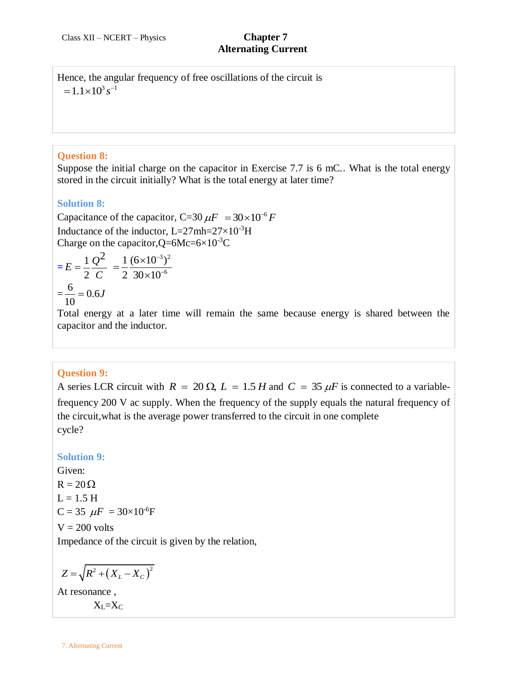Hence, the angular frequency of free oscillations of the circuit is  $= 1.1 \times 10^3 s^{-1}$ 

# **Question 8:**

Suppose the initial charge on the capacitor in Exercise 7.7 is 6 mC.. What is the total energy stored in the circuit initially? What is the total energy at later time?

# **Solution 8:**

Capacitance of the capacitor,  $C=30 \mu F = 30 \times 10^{-6} F$ Inductance of the inductor,  $L=27mh=27\times10^{-3}H$ Charge on the capacitor, $Q=6Mc=6\times10^{-3}C$ 

$$
=E = \frac{1}{2}\frac{Q^2}{C} = \frac{1}{2}\frac{(6\times10^{-3})^2}{30\times10^{-6}}
$$

$$
= \frac{6}{10} = 0.6J
$$

Total energy at a later time will remain the same because energy is shared between the capacitor and the inductor.

### **Question 9:**

A series LCR circuit with  $R = 20 \Omega$ ,  $L = 1.5 H$  and  $C = 35 \mu F$  is connected to a variablefrequency 200 V ac supply. When the frequency of the supply equals the natural frequency of the circuit,what is the average power transferred to the circuit in one complete cycle?

#### **Solution 9:**

Given:  $R = 20 \Omega$  $L = 1.5 H$  $C = 35 \mu F = 30 \times 10^{-6}F$  $V = 200$  volts Impedance of the circuit is given by the relation,

$$
Z = \sqrt{R^2 + (X_L - X_C)^2}
$$

At resonance ,

 $X_l = X_c$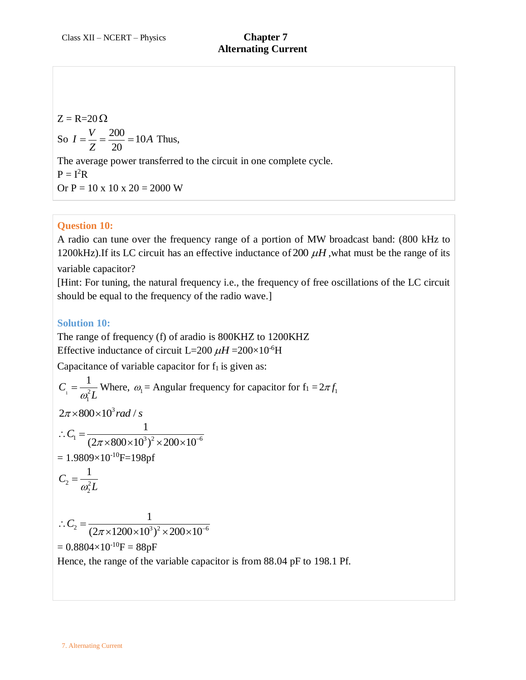$Z = R = 20 \Omega$ So  $I = \frac{V}{I} = \frac{200}{20} = 10$ 20  $I = \frac{V}{7} = \frac{200}{20} = 10A$ *Z*  $=\frac{V}{Z}=\frac{200}{20}$  = 10A Thus,

The average power transferred to the circuit in one complete cycle.

 $P = I^2R$ Or  $P = 10 \times 10 \times 20 = 2000$  W

### **Question 10:**

A radio can tune over the frequency range of a portion of MW broadcast band: (800 kHz to 1200kHz). If its LC circuit has an effective inductance of 200  $\mu$ H, what must be the range of its variable capacitor?

[Hint: For tuning, the natural frequency i.e., the frequency of free oscillations of the LC circuit should be equal to the frequency of the radio wave.]

#### **Solution 10:**

The range of frequency (f) of aradio is 800KHZ to 1200KHZ Effective inductance of circuit L=200  $\mu$ H =200×10<sup>-6</sup>H

Capacitance of variable capacitor for  $f_1$  is given as:

$$
C_{1} = \frac{1}{\omega_{1}^{2} L}
$$
 Where,  $\omega_{1}$  = Angular frequency for capacitor for f<sub>1</sub> =  $2\pi f_{1}$   

$$
2\pi \times 800 \times 10^{3} rad / s
$$

$$
\therefore C_1 = \frac{1}{(2\pi \times 800 \times 10^3)^2 \times 200 \times 10^{-6}}
$$
  
= 1.9809×10<sup>-10</sup>F=198pf  

$$
C_2 = \frac{1}{\omega_2^2 L}
$$

$$
\therefore C_2 = \frac{1}{(2\pi \times 1200 \times 10^3)^2 \times 200 \times 10^{-6}}
$$
  
= 0.8804×10<sup>-10</sup>F = 88pF  
Hence, the range of the variable capacitor is from 88.04 pF to 198.1 Pf.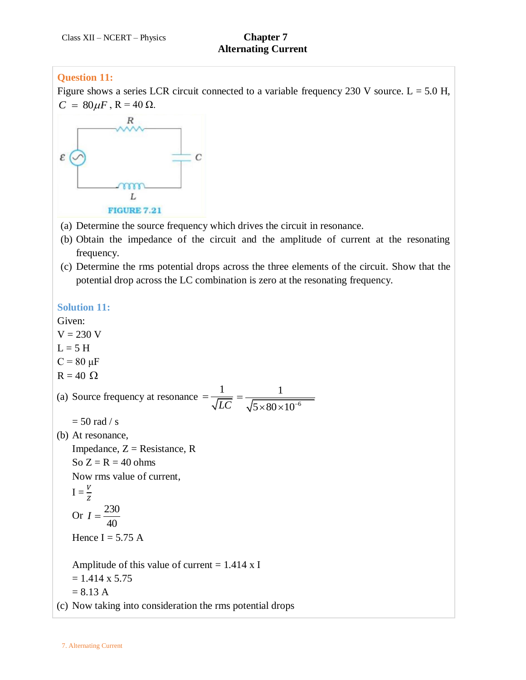### **Question 11:**

Figure shows a series LCR circuit connected to a variable frequency 230 V source.  $L = 5.0$  H,  $C = 80 \mu F$ , R = 40 Ω.



- (a) Determine the source frequency which drives the circuit in resonance.
- (b) Obtain the impedance of the circuit and the amplitude of current at the resonating frequency.
- (c) Determine the rms potential drops across the three elements of the circuit. Show that the potential drop across the LC combination is zero at the resonating frequency.

**Solution 11:**

Given:  $V = 230 V$ 

- $L = 5$  H
- $C = 80 \mu F$
- $R = 40 \Omega$
- (a) Source frequency at resonance  $=\frac{1}{\sqrt{2}}$ *LC*  $=\frac{1}{\sqrt{LC}}=\frac{1}{\sqrt{5 \times 80 \times 10^{-6}}}$ 1  $5 \times 80 \times 10^{-6}$  $=$  $\times 80\times 10$

 $= 50$  rad / s

(b) At resonance,

```
Impedance, Z = Resistance, R
```
So  $Z = R = 40$  ohms

```
Now rms value of current,
```

```
I = \frac{V}{Z}Or I = \frac{230}{10}I
```

```
40
Hence I = 5.75 A
```
Amplitude of this value of current  $= 1.414 \times I$ 

```
= 1.414 \times 5.75
```

```
= 8.13 A
```
(c) Now taking into consideration the rms potential drops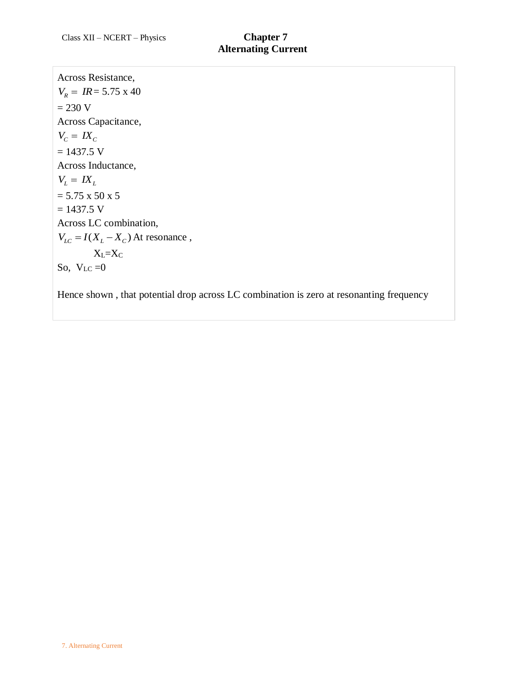Across Resistance,  $V_R = IR = 5.75 \times 40$  $= 230 V$ Across Capacitance,  $V_c = IX_c$  $= 1437.5 V$ Across Inductance,  $V_L = IX_L$  $= 5.75 \times 50 \times 5$  $= 1437.5 V$ Across LC combination,  $V_{LC} = I(X_L - X_C)$  At resonance,  $X_L = X_C$ So,  $V_{LC} = 0$ 

Hence shown , that potential drop across LC combination is zero at resonanting frequency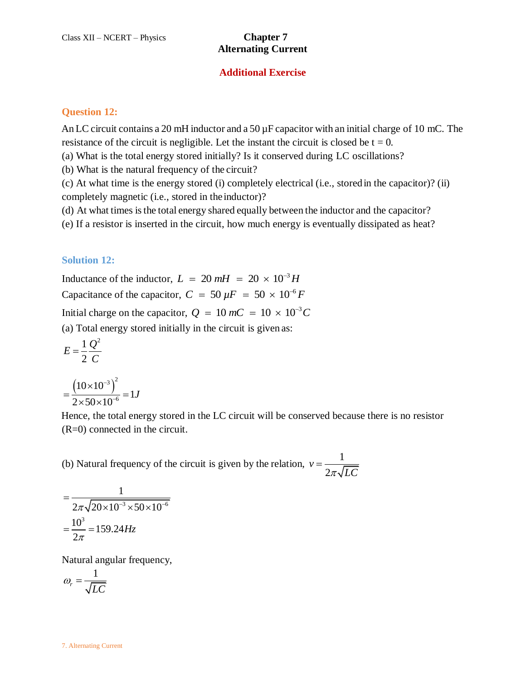#### **Additional Exercise**

#### **Question 12:**

An LC circuit contains a 20 mH inductor and a 50  $\mu$ F capacitor with an initial charge of 10 mC. The resistance of the circuit is negligible. Let the instant the circuit is closed be  $t = 0$ .

(a) What is the total energy stored initially? Is it conserved during LC oscillations?

(b) What is the natural frequency of the circuit?

(c) At what time is the energy stored (i) completely electrical (i.e., stored in the capacitor)? (ii) completely magnetic (i.e., stored in the inductor)?

(d) At what times isthe total energy shared equally between the inductor and the capacitor?

(e) If a resistor is inserted in the circuit, how much energy is eventually dissipated as heat?

#### **Solution 12:**

Inductance of the inductor,  $L = 20 \text{ mH} = 20 \times 10^{-3}$  $L = 20 mH = 20 \times 10^{-3} H$  $\overline{a}$ = 20  $mH$  = 20  $\times$  10<sup>-1</sup> Capacitance of the matters,  $E = 20$   $mT = 20 \times 10^{4}$   $H = 200$  $\overline{a}$  $= 50 \mu F = 50 \times 10^{-7}$ Initial charge on the capacitor,  $Q = 10 \text{ mC} = 10 \times 10^{-3} \text{C}$  $\overline{a}$  $= 10 mC = 10 \times 10^{-7}$ (a) Total energy stored initially in the circuit is given as:

$$
E = \frac{1}{2} \frac{Q^2}{C}
$$

$$
=\frac{(10\times10^{-3})^2}{2\times50\times10^{-6}}=1J
$$

Hence, the total energy stored in the LC circuit will be conserved because there is no resistor (R=0) connected in the circuit.

(b) Natural frequency of the circuit is given by the relation,  $v = \frac{1}{\sqrt{2\pi}}$ 2 *v*  $\pi\sqrt{LC}$  $=$ 

$$
=\frac{1}{2\pi\sqrt{20\times10^{-3}\times50\times10^{-6}}}
$$

$$
=\frac{10^{3}}{2\pi}=159.24Hz
$$

Natural angular frequency,

$$
\omega_r = \frac{1}{\sqrt{LC}}
$$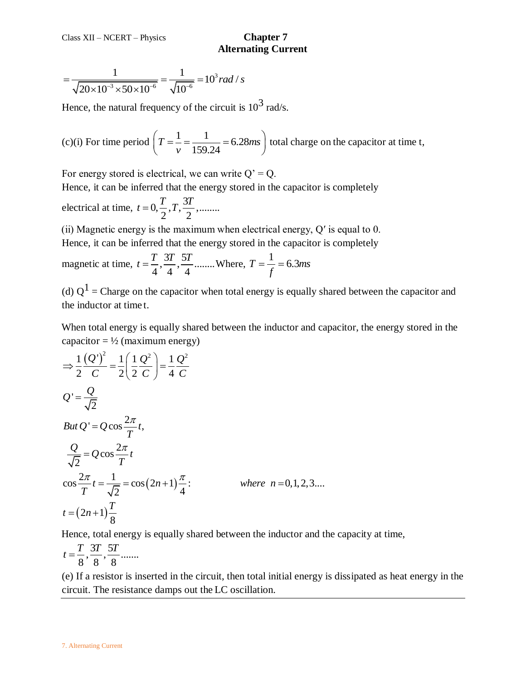$$
= \frac{1}{\sqrt{20 \times 10^{-3} \times 50 \times 10^{-6}}} = \frac{1}{\sqrt{10^{-6}}} = 10^{3} rad/s
$$

Hence, the natural frequency of the circuit is  $10^3$  rad/s.

(c)(i) For time period 
$$
\left(T = \frac{1}{v} = \frac{1}{159.24} = 6.28ms\right)
$$
 total charge on the capacitor at time t,

For energy stored is electrical, we can write  $Q' = Q$ .

Hence, it can be inferred that the energy stored in the capacitor is completely

electrical at time, 
$$
t = 0, \frac{T}{2}, T, \frac{3T}{2}, \dots
$$

(ii) Magnetic energy is the maximum when electrical energy,  $Q'$  is equal to 0. Hence, it can be inferred that the energy stored in the capacitor is completely

magnetic at time, 
$$
t = \frac{T}{4}, \frac{3T}{4}, \frac{5T}{4}
$$
........ Where,  $T = \frac{1}{f} = 6.3ms$ 

(d)  $Q^1$  = Charge on the capacitor when total energy is equally shared between the capacitor and the inductor at time t.

When total energy is equally shared between the inductor and capacitor, the energy stored in the

capacitor = ½ (maximum energy)  
\n
$$
\Rightarrow \frac{1}{2} \frac{(Q')^2}{C} = \frac{1}{2} \left(\frac{1}{2} \frac{Q^2}{C}\right) = \frac{1}{4} \frac{Q^2}{C}
$$
\n
$$
Q' = \frac{Q}{\sqrt{2}}
$$
\n
$$
But Q' = Q \cos \frac{2\pi}{T} t,
$$
\n
$$
\frac{Q}{\sqrt{2}} = Q \cos \frac{2\pi}{T} t
$$
\n
$$
\cos \frac{2\pi}{T} t = \frac{1}{\sqrt{2}} = \cos (2n+1) \frac{\pi}{4};
$$
\nwhere n = 0, 1, 2, 3....  
\n
$$
t = (2n+1) \frac{T}{8}
$$

Hence, total energy is equally shared between the inductor and the capacity at time,

$$
t = \frac{T}{8}, \frac{3T}{8}, \frac{5T}{8} \dots
$$

(e) If a resistor is inserted in the circuit, then total initial energy is dissipated as heat energy in the circuit. The resistance damps out the LC oscillation.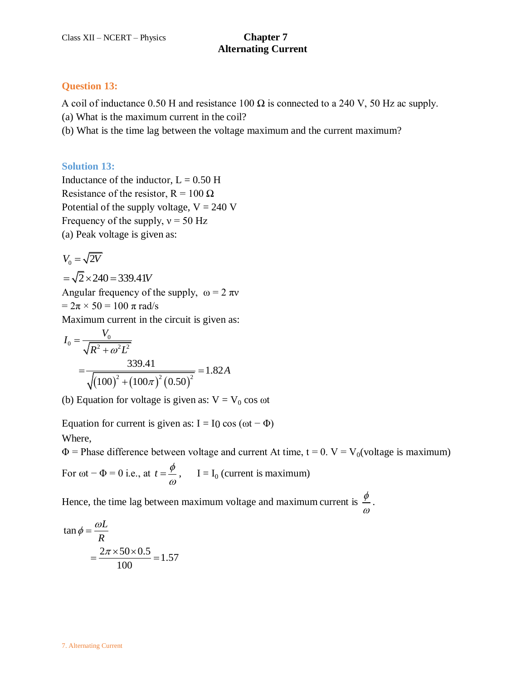#### **Question 13:**

A coil of inductance 0.50 H and resistance 100  $\Omega$  is connected to a 240 V, 50 Hz ac supply.

(a) What is the maximum current in the coil?

(b) What is the time lag between the voltage maximum and the current maximum?

#### **Solution 13:**

Inductance of the inductor,  $L = 0.50$  H Resistance of the resistor,  $R = 100 \Omega$ Potential of the supply voltage,  $V = 240$  V Frequency of the supply,  $v = 50$  Hz (a) Peak voltage is given as:

$$
V_0 = \sqrt{2V}
$$

 $=\sqrt{2} \times 240 = 339.41V$ 

Angular frequency of the supply,  $\omega = 2 \pi v$ 

 $= 2\pi \times 50 = 100 \pi$  rad/s

Maximum current in the circuit is given as:

$$
I_0 = \frac{V_0}{\sqrt{R^2 + \omega^2 L^2}}
$$
  
= 
$$
\frac{339.41}{\sqrt{(100)^2 + (100\pi)^2 (0.50)^2}} = 1.82A
$$

(b) Equation for voltage is given as:  $V = V_0 \cos \omega t$ 

Equation for current is given as:  $I = I_0 \cos(\omega t - \Phi)$ Where,

 $\Phi$  = Phase difference between voltage and current At time, t = 0. V = V<sub>0</sub>(voltage is maximum)

For  $\omega t - \Phi = 0$  i.e., at  $t = \frac{\phi}{\phi}$  $=\frac{\varphi}{\omega}$ , I = I<sub>0</sub> (current is maximum)

Hence, the time lag between maximum voltage and maximum current is  $\frac{\phi}{\phi}$  $\frac{\varphi}{\omega}$  .

$$
\tan \phi = \frac{\omega L}{R}
$$

$$
= \frac{2\pi \times 50 \times 0.5}{100} = 1.57
$$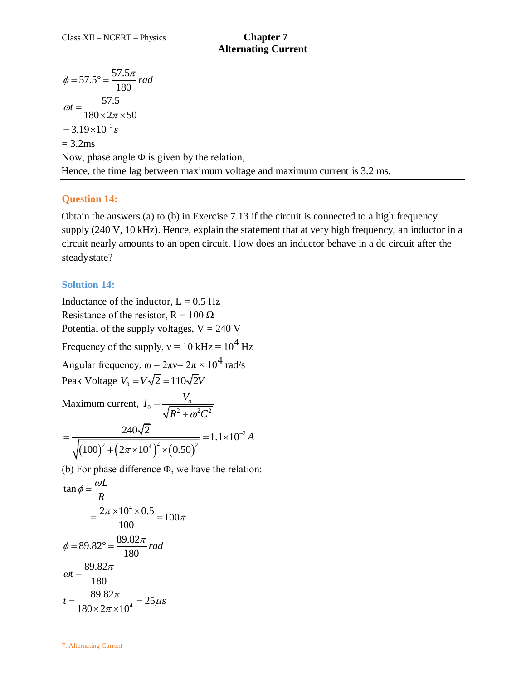$$
\phi = 57.5^{\circ} = \frac{57.5\pi}{180} rad
$$
\n
$$
\omega t = \frac{57.5}{180 \times 2\pi \times 50}
$$
\n
$$
= 3.19 \times 10^{-3} s
$$
\n
$$
= 3.2 \text{ms}
$$
\nNow, phase angle  $\Phi$  is given by the relation,

\nHence, the time lag between maximum voltage and maximum current is 3.2 ms.

### **Question 14:**

Obtain the answers (a) to (b) in Exercise 7.13 if the circuit is connected to a high frequency supply (240 V, 10 kHz). Hence, explain the statement that at very high frequency, an inductor in a circuit nearly amounts to an open circuit. How does an inductor behave in a dc circuit after the steadystate?

### **Solution 14:**

Inductance of the inductor,  $L = 0.5$  Hz Resistance of the resistor,  $R = 100 \Omega$ Potential of the supply voltages,  $V = 240$  V Frequency of the supply,  $v = 10$  kHz =  $10^4$  Hz Angular frequency,  $\omega = 2\pi v = 2\pi \times 10^4$  rad/s Peak Voltage  $V_0 = V\sqrt{2} = 110\sqrt{2}V$ Maximum current,  $I_0 = \frac{V_0}{\sqrt{R^2 + \omega^2 C^2}}$  $I_0 = \frac{V_o}{\sqrt{1 - \frac{V_o}{\sqrt{1 - \frac{V_o}{\sqrt{1 - \frac{V_o}{\sqrt{1 - \frac{V_o}{\sqrt{1 - \frac{V_o}{\sqrt{1 - \frac{V_o}{\sqrt{1 - \frac{V_o}{\sqrt{1 - \frac{V_o}{\sqrt{1 - \frac{V_o}{\sqrt{1 - \frac{V_o}{\sqrt{1 - \frac{V_o}{\sqrt{1 - \frac{V_o}{\sqrt{1 - \frac{V_o}{\sqrt{1 - \frac{V_o}{\sqrt{1 - \frac{V_o}{\sqrt{1 - \frac{V_o}{\sqrt{1 - \frac{V_o}{\sqrt{1 - \frac{V_o}{\sqrt{1 - \frac{V_o}{\$  $R^2 + \omega^2 C$  $=$  $\ddot{}$  $\sqrt{R^2 + \omega^2 C^2}$ <br>240 $\sqrt{2}$ <br>(100)<sup>2</sup> + (2 $\pi \times 10^4$ )<sup>2</sup>  $\times$  (0.50)<sup>2</sup> = 1.1 $\times$ 10  $\frac{\sqrt{R^2 + \omega^2 C^2}}{240\sqrt{2}}$ <br>= 1.1×10<sup>-2</sup><br> $\frac{2}{\sqrt{R^2 + (2\pi \times 10^4)^2 \times (0.50)^2}}$ = 1.1×10<sup>-2</sup>  $\frac{240\sqrt{2}}{100^{2} + (2\pi \times 10^{4})^{2} \times (0.50)^{2}} = 1.1 \times 10^{-2} A$  $\pi$ ÷,  $\sqrt{R^2 + \omega^2 C^2}$ <br>=  $\frac{240\sqrt{2}}{\sqrt{(\omega_0)^2 + (\omega_0)^2 + (\omega_0)^2}} = 1.1 \times 10^{-2} A$  $\frac{240\sqrt{2}}{+\left(2\pi\times10^4\right)^2\times(0.50)}$ (b) For phase difference Φ, we have the relation: 4  $\tan \phi = \frac{\omega L}{R}$  $\frac{2\pi \times 10^4 \times 0.5}{100} = 100$ *R*  $\phi = \frac{\omega}{\tau}$  $\kappa = \frac{2\pi \times 10^4 \times 0.5}{100} = 100\pi$ 

$$
\frac{100}{89.82}
$$

$$
\phi = 89.82^{\circ} = \frac{89.82\pi}{180} rad
$$

$$
\omega t = \frac{89.82\pi}{180}
$$

$$
t = \frac{89.82\pi}{180 \times 2\pi \times 10^4} = 25 \,\mu s
$$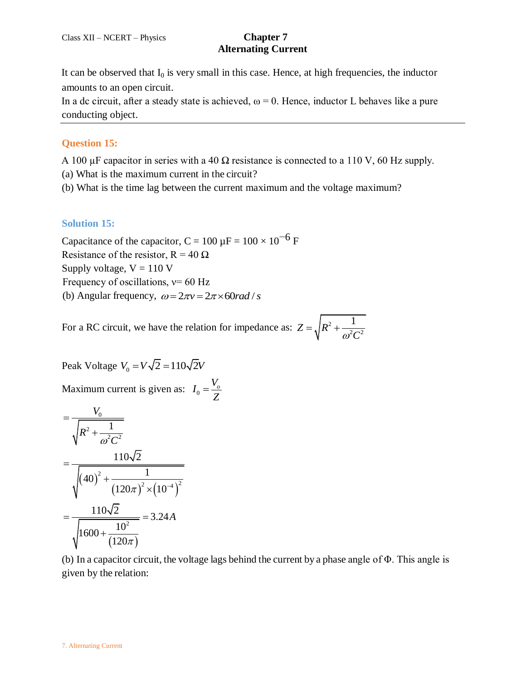It can be observed that  $I_0$  is very small in this case. Hence, at high frequencies, the inductor amounts to an open circuit.

In a dc circuit, after a steady state is achieved,  $\omega = 0$ . Hence, inductor L behaves like a pure conducting object.

# **Question 15:**

A 100  $\mu$ F capacitor in series with a 40  $\Omega$  resistance is connected to a 110 V, 60 Hz supply.

(a) What is the maximum current in the circuit?

(b) What is the time lag between the current maximum and the voltage maximum?

#### **Solution 15:**

Capacitance of the capacitor, C =  $100 \mu$ F =  $100 \times 10^{-6}$  F Resistance of the resistor,  $R = 40 \Omega$ Supply voltage,  $V = 110$  V Frequency of oscillations,  $v=60$  Hz (b) Angular frequency,  $\omega = 2\pi v = 2\pi \times 60$  rad / *s* 

For a RC circuit, we have the relation for impedance as:  $Z = \sqrt{R^2}$  $\sqrt{2}$  $Z = \sqrt{R^2 + \frac{1}{24}}$  $\omega$ <sup>2</sup>C  $=\sqrt{R^2 + -}$ 

Peak Voltage  $V_0 = V\sqrt{2} = 110\sqrt{2}V$ Maximum current is given as:  $I_0 = \frac{V_o}{Z}$ *Z*  $=$ 

$$
= \frac{V_0}{\sqrt{R^2 + \frac{1}{\omega^2 C^2}}}
$$
  
= 
$$
\frac{110\sqrt{2}}{\sqrt{(40)^2 + \frac{1}{(120\pi)^2 \times (10^{-4})^2}}}
$$
  
= 
$$
\frac{110\sqrt{2}}{\sqrt{1600 + \frac{10^2}{(120\pi)}}}
$$
 = 3.24A

(b) In a capacitor circuit, the voltage lags behind the current by a phase angle of Φ. This angle is given by the relation: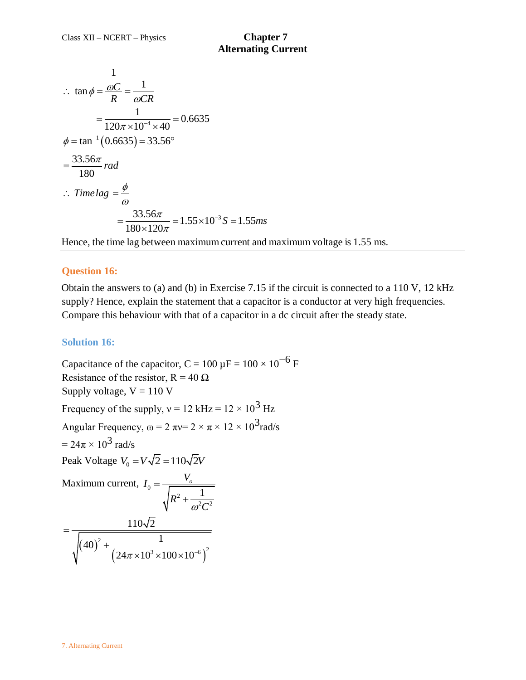$$
\therefore \tan \phi = \frac{\frac{1}{\omega C}}{R} = \frac{1}{\omega CR}
$$
  
=  $\frac{1}{120\pi \times 10^{-4} \times 40} = 0.6635$   
 $\phi = \tan^{-1} (0.6635) = 33.56^{\circ}$   
=  $\frac{33.56\pi}{180}$  rad  
∴ Time lag =  $\frac{\phi}{\omega}$   
=  $\frac{33.56\pi}{180 \times 120\pi} = 1.55 \times 10^{-3} S = 1.55 ms$ 

Hence, the time lag between maximum current and maximum voltage is 1.55 ms.

#### **Question 16:**

Obtain the answers to (a) and (b) in Exercise 7.15 if the circuit is connected to a 110 V, 12 kHz supply? Hence, explain the statement that a capacitor is a conductor at very high frequencies. Compare this behaviour with that of a capacitor in a dc circuit after the steady state.

### **Solution 16:**

Capacitance of the capacitor, C =  $100 \mu$ F =  $100 \times 10^{-6}$  F Resistance of the resistor,  $R = 40 \Omega$ Supply voltage,  $V = 110 V$ Frequency of the supply,  $v = 12$  kHz =  $12 \times 10^3$  Hz Angular Frequency,  $\omega = 2 \pi v = 2 \times \pi \times 12 \times 10^3$ rad/s  $= 24\pi \times 10^3$  rad/s Peak Voltage  $V_0 = V\sqrt{2} = 110\sqrt{2}V$ Maximum current,  $I_0$  $^{2}+\frac{1}{\omega^{2}C^{2}}$ 1  $I_0 = \frac{V_o}{\sqrt{2\pi}}$ *R*  $\omega$ <sup>2</sup>C  $=$  $\ddot{}$  $\frac{110\sqrt{2}}{\left(40\right)^2 + \frac{1}{\left(24\pi \times 10^3 \times 100 \times 10^{-6}\right)^2}}$ 2  $\frac{3 \times 100 \times 10^{-6}}{2}$  $110\sqrt{2}$  $(40)^2 + \frac{1}{(24\pi \times 10^3 \times 100 \times 10^3 \times 100^3 \times 10^4 \times 10^4 \times 10^4 \times 10^4 \times 10^4 \times 10^4 \times 10^4 \times 10^4 \times 10^4 \times 10^4 \times 10^4 \times 10^4 \times 10^4 \times 10^4 \times 10^4 \times 10^4 \times 10^4 \times 10^4 \times 10^4 \times 10^4 \times 10^4 \times 10^4 \times 10^4 \times 10^4 \times 10^4 \$ - $=$ + $\frac{1}{(24\pi \times 10^{3} \times 100 \times 10^{-6})}$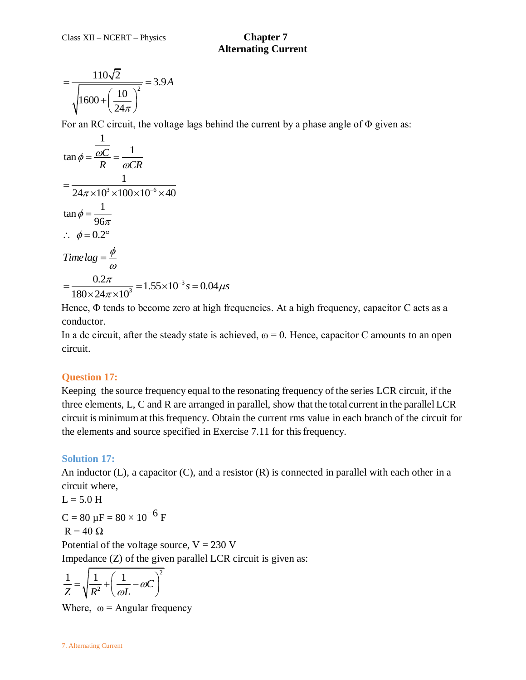$$
=\frac{110\sqrt{2}}{\sqrt{1600+\left(\frac{10}{24\pi}\right)^2}}=3.9A
$$

For an RC circuit, the voltage lags behind the current by a phase angle of  $\Phi$  given as:

$$
\sqrt{1600 + \left(\frac{10}{24\pi}\right)^2}
$$
  
For an RC circuit, the voltage lags behind  
tan  $\phi = \frac{\frac{1}{\omega C}}{R} = \frac{1}{\omega CR}$   

$$
= \frac{1}{24\pi \times 10^3 \times 100 \times 10^{-6} \times 40}
$$
  
tan  $\phi = \frac{1}{96\pi}$   
 $\therefore \phi = 0.2^\circ$   
Time  $lag = \frac{\phi}{\omega}$   

$$
= \frac{0.2\pi}{180 \times 24\pi \times 10^3} = 1.55 \times 10^{-3} s = 0.04 \mu s
$$
  
Hence,  $\Phi$  tends to become zero at high fr  
conductor.  
In a dc circuit, after the steady state is ac  
circuit.  
Question 17:  
Keeping the source frequency equal to the  
three elements, L, C and R are arranged in  
circuit is minimum at this frequency. Obtain  
the elements and source specified in Exer  
Solution 17:  
An inductor (L), a capacitor (C), and a re  
circuit where,  
L = 5.0 H  
C = 80  $\mu$ F = 80 × 10<sup>-6</sup> F  
R = 40  $\Omega$   
Potential of the voltage source, V = 230 V  
Impedance (Z) of the given parallel LCR  

$$
\frac{1}{Z} = \sqrt{\frac{1}{R^2} + \left(\frac{1}{\omega L} - \omega C\right)^2}
$$
Where,  $\omega$  = Angular frequency

Hence, Φ tends to become zero at high frequencies. At a high frequency, capacitor C acts as a conductor.

In a dc circuit, after the steady state is achieved,  $\omega = 0$ . Hence, capacitor C amounts to an open circuit.

### **Question 17:**

Keeping the source frequency equal to the resonating frequency of the series LCR circuit, if the three elements, L, C and R are arranged in parallel, show that the total current in the parallel LCR circuit is minimumat thisfrequency. Obtain the current rms value in each branch of the circuit for the elements and source specified in Exercise 7.11 for this frequency.

#### **Solution 17:**

An inductor  $(L)$ , a capacitor  $(C)$ , and a resistor  $(R)$  is connected in parallel with each other in a circuit where,

L = 5.0 H C = 80 µF = 80 × 10−6 F R = 40 Ω

Potential of the voltage source,  $V = 230$  V

Impedance (Z) of the given parallel LCR circuit is given as:

$$
\frac{1}{Z} = \sqrt{\frac{1}{R^2} + \left(\frac{1}{\omega L} - \omega C\right)^2}
$$

Where,  $\omega =$  Angular frequency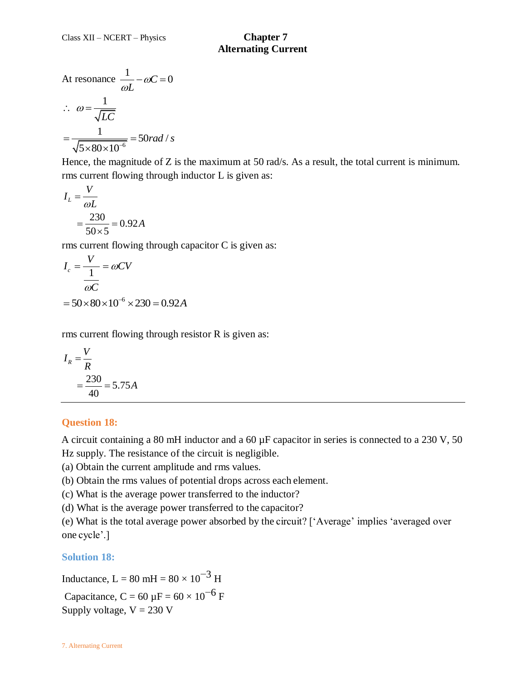At resonance 
$$
\frac{1}{\omega L} - \omega C = 0
$$
  
\n
$$
\therefore \ \omega = \frac{1}{\sqrt{LC}}
$$
\n
$$
= \frac{1}{\sqrt{5 \times 80 \times 10^{-6}}} = 50 \text{ rad/s}
$$

Hence, the magnitude of Z is the maximum at 50 rad/s. As a result, the total current is minimum. rms current flowing through inductor L is given as:

$$
I_L = \frac{V}{\omega L}
$$

$$
= \frac{230}{50 \times 5} = 0.92 A
$$

rms current flowing through capacitor C is given as:

$$
I_c = \frac{V}{\frac{1}{\omega C}} = \omega CV
$$
  
= 50 × 80 × 10<sup>-6</sup> × 230 = 0.92A

rms current flowing through resistor R is given as:

$$
I_R = \frac{V}{R}
$$
  
= 
$$
\frac{230}{40} = 5.75A
$$

#### **Question 18:**

A circuit containing a 80 mH inductor and a 60 µF capacitor in series is connected to a 230 V, 50 Hz supply. The resistance of the circuit is negligible.

(a) Obtain the current amplitude and rms values.

(b) Obtain the rms values of potential drops across each element.

(c) What is the average power transferred to the inductor?

(d) What is the average power transferred to the capacitor?

(e) What is the total average power absorbed by the circuit? ['Average' implies 'averaged over one cycle'.]

### **Solution 18:**

Inductance, L = 80 mH =  $80 \times 10^{-3}$  H Capacitance, C = 60  $\mu$ F = 60  $\times$  10<sup>-6</sup> F Supply voltage,  $V = 230$  V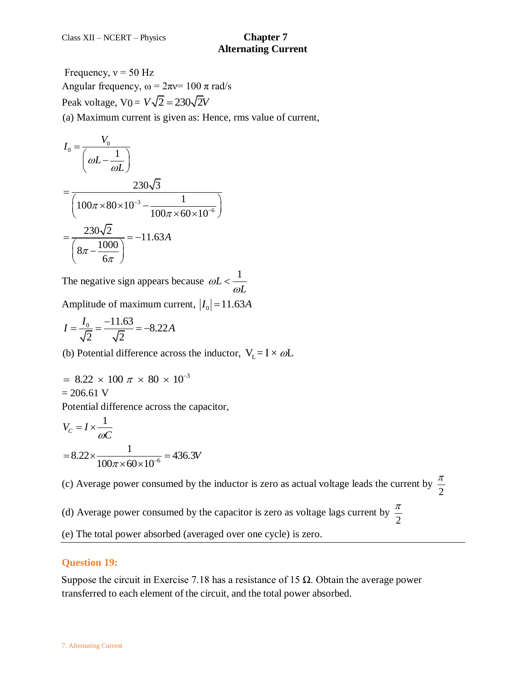Frequency,  $v = 50$  Hz Angular frequency,  $\omega = 2\pi v = 100 \pi$  rad/s Peak voltage,  $V_0 = V\sqrt{2} = 230\sqrt{2}V$ 

(a) Maximum current is given as: Hence, rms value of current,

$$
I_0 = \frac{V_0}{\left(\omega L - \frac{1}{\omega L}\right)}
$$
  
= 
$$
\frac{230\sqrt{3}}{\left(100\pi \times 80 \times 10^{-3} - \frac{1}{100\pi \times 60 \times 10^{-6}}\right)}
$$
  
= 
$$
\frac{230\sqrt{2}}{\left(8\pi - \frac{1000}{6\pi}\right)} = -11.63A
$$

The negative sign appears because  $\omega L < \frac{1}{2}$  $\omega L < \frac{L}{\omega L}$  $\leq$   $\frac{1}{\omega}$ 

Amplitude of maximum current,  $|I_0| = 11.63A$ 

$$
I = \frac{I_0}{\sqrt{2}} = \frac{-11.63}{\sqrt{2}} = -8.22A
$$

(b) Potential difference across the inductor,  $V_L = I \times \omega L$ 

$$
= 8.22 \times 100 \pi \times 80 \times 10^{-3}
$$
  
= 206.61 V

Potential difference across the capacitor,

$$
V_C = I \times \frac{1}{\omega C}
$$
  
= 8.22 ×  $\frac{1}{100\pi \times 60 \times 10^{-6}}$  = 436.3V

(c) Average power consumed by the inductor is zero as actual voltage leads the current by 2 π

(d) Average power consumed by the capacitor is zero as voltage lags current by 2 π

(e) The total power absorbed (averaged over one cycle) is zero.

### **Question 19:**

Suppose the circuit in Exercise 7.18 has a resistance of 15  $\Omega$ . Obtain the average power transferred to each element of the circuit, and the total power absorbed.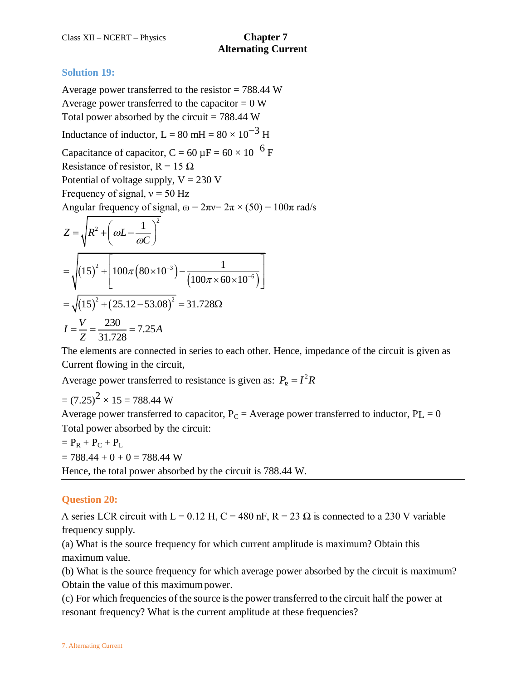### **Solution 19:**

Average power transferred to the resistor  $= 788.44$  W Average power transferred to the capacitor  $= 0 W$ Total power absorbed by the circuit  $= 788.44$  W Inductance of inductor, L = 80 mH =  $80 \times 10^{-3}$  H Capacitance of capacitor, C = 60  $\mu$ F = 60 × 10<sup>-6</sup> F Resistance of resistor,  $R = 15 \Omega$ Potential of voltage supply,  $V = 230$  V Frequency of signal,  $v = 50$  Hz Angular frequency of signal,  $\omega = 2\pi v = 2\pi \times (50) = 100\pi$  rad/s  $Z = \sqrt{R^2 + \left(\omega L - \frac{1}{\omega C}\right)^2}$  $\omega$  $=\sqrt{R^2+\left(\omega L-\frac{1}{\omega C}\right)^2}$  $\sqrt{K^2 + (\omega L - \frac{1}{\omega C})}$ <br>(15)<sup>2</sup> +  $\left[100\pi (80 \times 10^{-3}) - \frac{1}{(100\pi \times 60 \times 10^{-6})}\right]$  $(15)$  +  $\left[ 100\pi (80 \times 10) \right]$ <br> $(15)^2 + (25.12 - 53.08)^2$  $^{2}$   $\sqrt{100}$   $\pi$  (20  $\times$  10<sup>-3</sup> 6  $V = \sqrt{(15)^2 + (25.12 - 53.08)^2} = 31.728\Omega$ 1  $(15)^2 + 100\pi (80 \times 10)$  $\frac{1}{100\pi \times 60 \times 10}$ π π  $\overline{\phantom{0}}$ - $\begin{bmatrix} \omega C \end{bmatrix}$  $=\sqrt{(15)^2 + \left[100\pi \left(80\times10^{-3}\right) - \frac{1}{(100\pi \times 60\times 10^{-6})}\right]}$  $\left[100\pi\left(80\times10^{-3}\right)-\frac{1}{\left(100\pi\times60\times10^{-6}\right)}\right]$  $\frac{230}{1720}$  = 7.25  $I = \frac{V}{Z} = \frac{230}{31.728} = 7.25A$  $=\frac{V}{7}=\frac{230}{31,729} = 7.2$ 

The elements are connected in series to each other. Hence, impedance of the circuit is given as Current flowing in the circuit,

Average power transferred to resistance is given as:  $P_R = I^2 R$ 

 $=(7.25)^2 \times 15 = 788.44$  W

31.728

Average power transferred to capacitor,  $P_C =$  Average power transferred to inductor,  $P_L = 0$ Total power absorbed by the circuit:

 $= P_R + P_C + P_L$ 

 $= 788.44 + 0 + 0 = 788.44$  W

Hence, the total power absorbed by the circuit is 788.44 W.

#### **Question 20:**

A series LCR circuit with L = 0.12 H, C = 480 nF, R = 23  $\Omega$  is connected to a 230 V variable frequency supply.

(a) What is the source frequency for which current amplitude is maximum? Obtain this maximum value.

(b) What is the source frequency for which average power absorbed by the circuit is maximum? Obtain the value of this maximumpower.

(c) For which frequencies of the source isthe power transferred to the circuit half the power at resonant frequency? What is the current amplitude at these frequencies?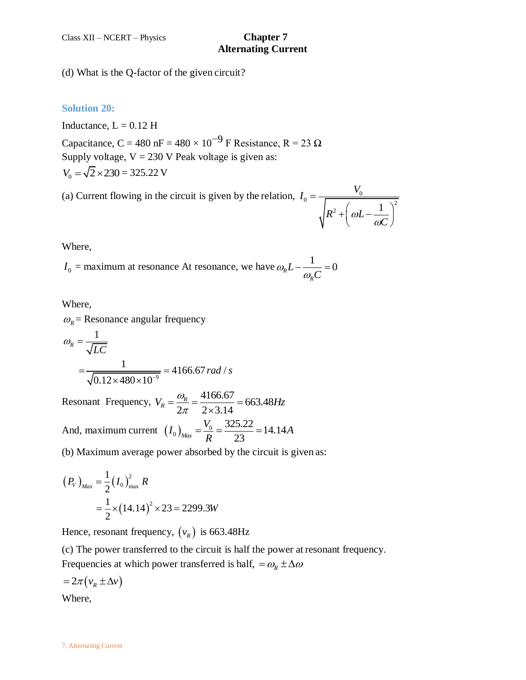(d) What is the Q-factor of the given circuit?

#### **Solution 20:**

Inductance,  $L = 0.12$  H

Capacitance, C = 480 nF =  $480 \times 10^{-9}$  F Resistance, R = 23  $\Omega$ Supply voltage,  $V = 230$  V Peak voltage is given as:  $V_0 = \sqrt{2 \times 230} = 325.22$  V

(a) Current flowing in the circuit is given by the relation,  $I_0 = \frac{V_0}{\sqrt{R_0^2 + \left(\frac{QI_0}{V_0}\right)^2}}$  $I_0 = \frac{V_0}{\sqrt{2\pi}}$  $R^2 + \left(\omega L - \frac{1}{\omega C}\right)$  $\omega$  $=\frac{v_0}{\sqrt{R^2+\left(\omega L-\frac{1}{\omega C}\right)^2}}$ 

Where,

$$
I_0
$$
 = maximum at resonance At resonance, we have  $\omega_R L - \frac{1}{\omega_R C} = 0$ 

Where,

 $\omega_R$  = Resonance angular frequency

$$
\omega_R = \frac{1}{\sqrt{LC}}
$$
  
=  $\frac{1}{\sqrt{0.12 \times 480 \times 10^{-9}}} = 4166.67 \text{ rad/s}$ 

Resonant Frequency,  $V_R = \frac{\omega_R}{2\pi} = \frac{4166.67}{2 \times 3.14} = 663.48 Hz$ And, maximum current  $(I_0)_{Max} = \frac{V_0}{R} = \frac{325.22}{23} = 14.14$  $\frac{Max}{R}$  23  $I_0$ <sub>)</sub><sub>Max</sub> =  $\frac{V_0}{R}$  =  $\frac{325.22}{23}$  = 14.14*A* 

(b) Maximum average power absorbed by the circuit is given as:

$$
(P_V)_{Max} = \frac{1}{2} (I_0)_{max}^2 R
$$
  
=  $\frac{1}{2} \times (14.14)^2 \times 23 = 2299.3W$ 

Hence, resonant frequency,  $(v_R)$  is 663.48Hz

(c) The power transferred to the circuit is half the power at resonant frequency.

Frequencies at which power transferred is half,  $= \omega_R \pm \Delta \omega$ 

 $= 2\pi \left(v_R \pm \Delta v\right)$ 

Where,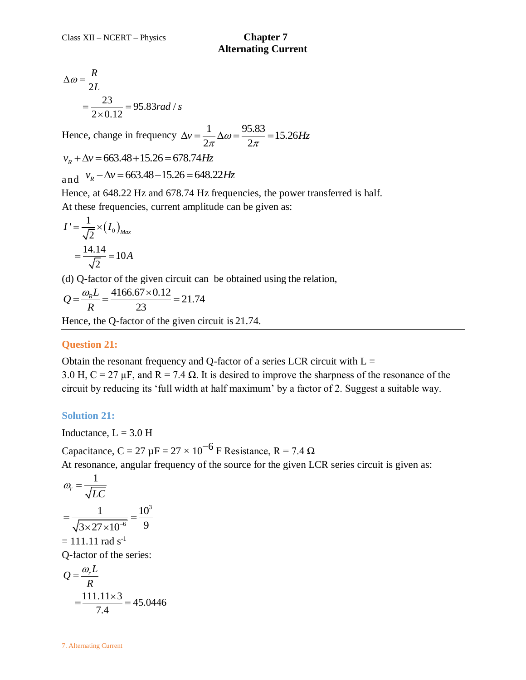$$
\Delta \omega = \frac{R}{2L}
$$
  
= 
$$
\frac{23}{2 \times 0.12} = 95.83 rad / s
$$

 $2 \times 0.12$ <br>Hence, change in frequency  $\Delta v = \frac{1}{2} \Delta \omega = \frac{95.83}{2} = 15.26$  $v = \frac{1}{2\pi} \Delta \omega = \frac{95.83}{2\pi} = 15.26 Hz$ Hence, change in frequency  $\Delta v = \frac{1}{2\pi} \Delta \omega = \frac{95.83}{2\pi} = 15.2$ <br> $v_R + \Delta v = 663.48 + 15.26 = 678.74$ *Hz* 

 $v_R + \Delta v = 663.48 + 15.26 = 678.74 Hz$ <br>and  $v_R - \Delta v = 663.48 - 15.26 = 648.22 Hz$ 

Hence, at  $648.22$  Hz and  $678.74$  Hz frequencies, the power transferred is half. At these frequencies, current amplitude can be given as:

$$
I' = \frac{1}{\sqrt{2}} \times (I_0)_{Max}
$$
  
=  $\frac{14.14}{\sqrt{2}} = 10A$ 

(d) Q-factor of the given circuit can be obtained using the relation,<br>  $Q = \frac{\omega_R L}{R} = \frac{4166.67 \times 0.12}{R} = 21.74$ 

$$
Q = \frac{\omega_R L}{R} = \frac{4166.67 \times 0.12}{23} = 21.74
$$

Hence, the Q-factor of the given circuit is 21.74.

#### **Question 21:**

Obtain the resonant frequency and Q-factor of a series LCR circuit with  $L =$ 3.0 H, C = 27  $\mu$ F, and R = 7.4  $\Omega$ . It is desired to improve the sharpness of the resonance of the circuit by reducing its 'full width at half maximum' by a factor of 2. Suggest a suitable way.

#### **Solution 21:**

Inductance,  $L = 3.0$  H

Capacitance, C = 27  $\mu$ F = 27 × 10<sup>-6</sup> F Resistance, R = 7.4  $\Omega$ 

At resonance, angular frequency of the source for the given LCR series circuit is given as:

$$
= \frac{23}{2 \times 0.12} = 95.83r
$$
  
Hence, change in frequency  
 $v_R + \Delta v = 663.48 + 15.26$   
and  $v_R - \Delta v = 663.48 -$   
Hence, at 648.22 Hz and  
At these frequencies, cut  

$$
I' = \frac{1}{\sqrt{2}} \times (I_0)_{Max}
$$

$$
= \frac{14.14}{\sqrt{2}} = 10A
$$
  
(d) Q-factor of the given  

$$
Q = \frac{\omega_R L}{R} = \frac{4166.67 \times 0.}{23}
$$
  
Hence, the Q-factor of the given  
3.0 H, C = 27 µF, and R  
circuit by reducing its 'f  
Solution 21:  
Inductance, L = 3.0 H  
Capacitance, C = 27 µF  
At resonance, angular fr  
 $\omega_r = \frac{1}{\sqrt{LC}}$ 
$$
= \frac{1}{\sqrt{3 \times 27 \times 10^{-6}}} = \frac{10^3}{9}
$$

$$
= 111.11 \text{ rad s}^{-1}
$$

$$
Q = \frac{\omega_r L}{R}
$$

$$
= \frac{111.11 \times 3}{7.4} = 45.044
$$

$$
= \frac{111.11 \times 3}{7.4} = 45.044
$$

$$
= \frac{111.11 \times 3}{7.4} = 45.044
$$

$$
\frac{R}{111.11 \times 3} = 45.0446
$$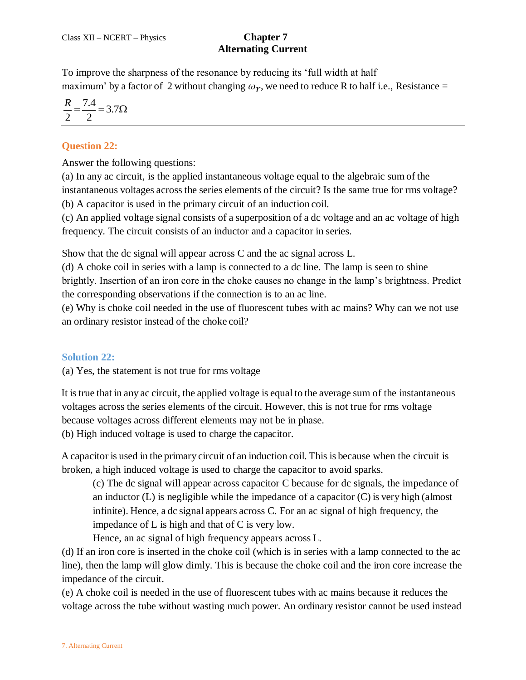To improve the sharpness of the resonance by reducing its 'full width at half maximum' by a factor of 2 without changing  $\omega_r$ , we need to reduce R to half i.e., Resistance =

$$
\frac{R}{2} = \frac{7.4}{2} = 3.7 \Omega
$$

# **Question 22:**

Answer the following questions:

(a) In any ac circuit, is the applied instantaneous voltage equal to the algebraic sum of the instantaneous voltages across the series elements of the circuit? Is the same true for rms voltage? (b) A capacitor is used in the primary circuit of an induction coil.

(c) An applied voltage signal consists of a superposition of a dc voltage and an ac voltage of high frequency. The circuit consists of an inductor and a capacitor in series.

Show that the dc signal will appear across C and the ac signal across L.

(d) A choke coil in series with a lamp is connected to a dc line. The lamp is seen to shine brightly. Insertion of an iron core in the choke causes no change in the lamp's brightness. Predict the corresponding observations if the connection is to an ac line.

(e) Why is choke coil needed in the use of fluorescent tubes with ac mains? Why can we not use an ordinary resistor instead of the choke coil?

### **Solution 22:**

(a) Yes, the statement is not true for rms voltage

It istrue that in any ac circuit, the applied voltage is equal to the average sum of the instantaneous voltages across the series elements of the circuit. However, this is not true for rms voltage because voltages across different elements may not be in phase.

(b) High induced voltage is used to charge the capacitor.

A capacitor is used in the primary circuit of an induction coil. This is because when the circuit is broken, a high induced voltage is used to charge the capacitor to avoid sparks.

(c) The dc signal will appear across capacitor C because for dc signals, the impedance of an inductor (L) is negligible while the impedance of a capacitor (C) is very high (almost infinite). Hence, a dc signal appears across C. For an ac signal of high frequency, the impedance of L is high and that of C is very low.

Hence, an ac signal of high frequency appears across L.

(d) If an iron core is inserted in the choke coil (which is in series with a lamp connected to the ac line), then the lamp will glow dimly. This is because the choke coil and the iron core increase the impedance of the circuit.

(e) A choke coil is needed in the use of fluorescent tubes with ac mains because it reduces the voltage across the tube without wasting much power. An ordinary resistor cannot be used instead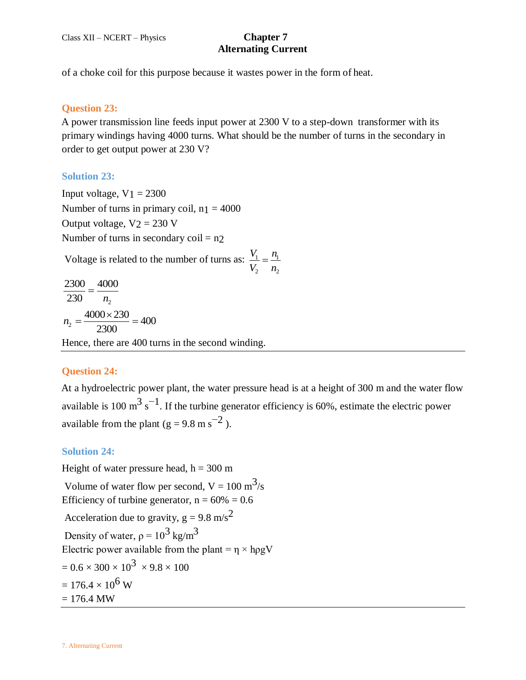of a choke coil for this purpose because it wastes power in the form of heat.

#### **Question 23:**

A power transmission line feeds input power at 2300 V to a step-down transformer with its primary windings having 4000 turns. What should be the number of turns in the secondary in order to get output power at 230 V?

#### **Solution 23:**

Input voltage,  $V_1 = 2300$ Number of turns in primary coil,  $n_1 = 4000$ Output voltage,  $V_2 = 230$  V Number of turns in secondary coil =  $n2$ Voltage is related to the number of turns as:  $\frac{v_1}{v_1} = \frac{n_1}{n_2}$ 2  $\mu_2$  $V_1$  *n*  $V_2$  *n*  $=$ 2 2300 4000 230 *n*  $=$  $\frac{4000 \times 230}{2200} = 400$ 2300  $n_2 = \frac{4000 \times 230}{2000} = 40$ Hence, there are 400 turns in the second winding.

### **Question 24:**

At a hydroelectric power plant, the water pressure head is at a height of 300 m and the water flow available is 100 m<sup>3</sup> s<sup>-1</sup>. If the turbine generator efficiency is 60%, estimate the electric power available from the plant (g =  $9.8 \text{ m s}^{-2}$ ).

### **Solution 24:**

Height of water pressure head,  $h = 300$  m Volume of water flow per second,  $V = 100 \text{ m}^3/\text{s}$ Efficiency of turbine generator,  $n = 60\% = 0.6$ Acceleration due to gravity,  $g = 9.8$  m/s<sup>2</sup> Density of water,  $\rho = 10^3$  kg/m<sup>3</sup> Electric power available from the plant =  $\eta \times h\rho gV$  $= 0.6 \times 300 \times 10^{3} \times 9.8 \times 100$  $= 176.4 \times 10^6$  W  $= 176.4$  MW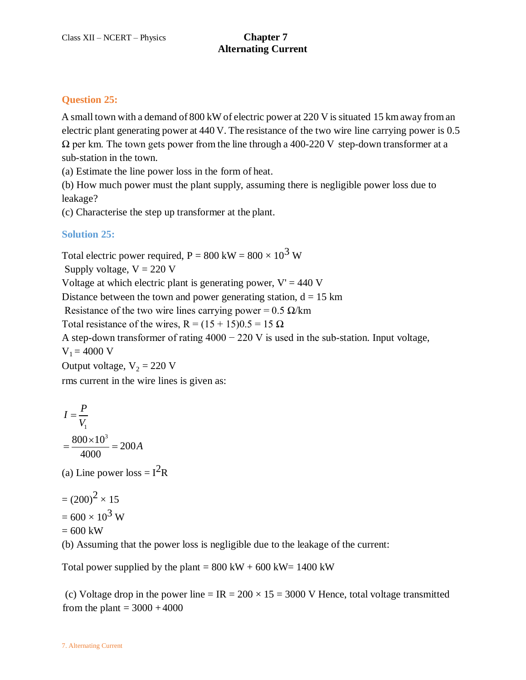# **Question 25:**

A small town with a demand of 800 kW of electric power at 220 V is situated 15 km away from an electric plant generating power at 440 V. The resistance of the two wire line carrying power is 0.5 Ω per km. The town gets power from the line through a 400-220 V step-down transformer at a sub-station in the town.

(a) Estimate the line power loss in the form of heat.

(b) How much power must the plant supply, assuming there is negligible power loss due to leakage?

(c) Characterise the step up transformer at the plant.

### **Solution 25:**

Total electric power required,  $P = 800 \text{ kW} = 800 \times 10^3 \text{ W}$ 

Supply voltage,  $V = 220$  V

Voltage at which electric plant is generating power,  $V = 440$  V

Distance between the town and power generating station,  $d = 15$  km

Resistance of the two wire lines carrying power =  $0.5 \Omega$ /km

Total resistance of the wires, R =  $(15 + 15)0.5 = 15 \Omega$ 

A step-down transformer of rating  $4000 - 220$  V is used in the sub-station. Input voltage,  $V_1 = 4000 V$ 

Output voltage,  $V_2 = 220$  V

rms current in the wire lines is given as:

$$
I = \frac{P}{V_1}
$$
  
=  $\frac{800 \times 10^3}{4000} = 200A$ 

(a) Line power loss =  $I^2R$ 

 $=(200)^2 \times 15$  $= 600 \times 10^3$  W  $= 600 \text{ kW}$ 

(b) Assuming that the power loss is negligible due to the leakage of the current:

Total power supplied by the plant =  $800 \text{ kW} + 600 \text{ kW} = 1400 \text{ kW}$ 

(c) Voltage drop in the power line =  $IR = 200 \times 15 = 3000$  V Hence, total voltage transmitted from the plant =  $3000 + 4000$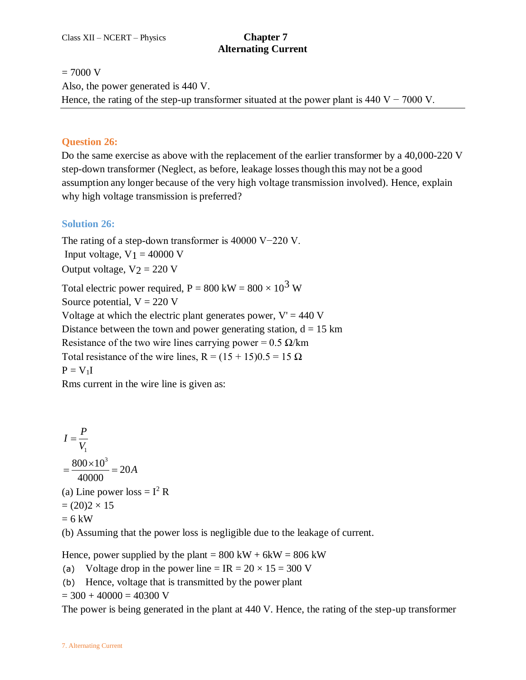$= 7000 V$ 

Also, the power generated is 440 V.

Hence, the rating of the step-up transformer situated at the power plant is 440 V – 7000 V.

### **Question 26:**

Do the same exercise as above with the replacement of the earlier transformer by a 40,000-220 V step-down transformer (Neglect, as before, leakage lossesthough this may not be a good assumption any longer because of the very high voltage transmission involved). Hence, explain why high voltage transmission is preferred?

### **Solution 26:**

The rating of a step-down transformer is 40000 V−220 V. Input voltage,  $V_1 = 40000 V$ Output voltage,  $V_2 = 220$  V Total electric power required,  $P = 800 \text{ kW} = 800 \times 10^3 \text{ W}$ Source potential,  $V = 220$  V Voltage at which the electric plant generates power,  $V' = 440$  V Distance between the town and power generating station,  $d = 15$  km Resistance of the two wire lines carrying power =  $0.5 \Omega$ /km Total resistance of the wire lines,  $R = (15 + 15)0.5 = 15 \Omega$  $P = V_1I$ 

Rms current in the wire line is given as:

1  $\frac{800 \times 10^3}{10000} = 20$ 40000  $I=\frac{P}{I}$ *V*  $=\frac{800\times10^3}{40000}$  = 20A  $=$ (a) Line power loss =  $I^2 R$  $= (20)2 \times 15$  $= 6$  kW

(b) Assuming that the power loss is negligible due to the leakage of current.

Hence, power supplied by the plant =  $800 \text{ kW} + 6 \text{kW} = 806 \text{ kW}$ 

(a) Voltage drop in the power line =  $IR = 20 \times 15 = 300$  V

(b) Hence, voltage that is transmitted by the power plant

 $= 300 + 40000 = 40300$  V

The power is being generated in the plant at 440 V. Hence, the rating of the step-up transformer